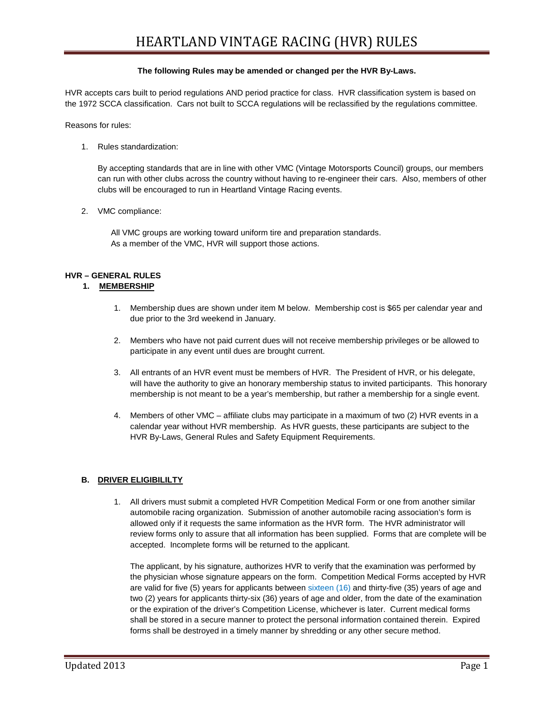#### **The following Rules may be amended or changed per the HVR By-Laws.**

HVR accepts cars built to period regulations AND period practice for class. HVR classification system is based on the 1972 SCCA classification. Cars not built to SCCA regulations will be reclassified by the regulations committee.

Reasons for rules:

1. Rules standardization:

By accepting standards that are in line with other VMC (Vintage Motorsports Council) groups, our members can run with other clubs across the country without having to re-engineer their cars. Also, members of other clubs will be encouraged to run in Heartland Vintage Racing events.

2. VMC compliance:

 All VMC groups are working toward uniform tire and preparation standards. As a member of the VMC, HVR will support those actions.

## **HVR – GENERAL RULES**

## **1. MEMBERSHIP**

- 1. Membership dues are shown under item M below. Membership cost is \$65 per calendar year and due prior to the 3rd weekend in January.
- 2. Members who have not paid current dues will not receive membership privileges or be allowed to participate in any event until dues are brought current.
- 3. All entrants of an HVR event must be members of HVR. The President of HVR, or his delegate, will have the authority to give an honorary membership status to invited participants. This honorary membership is not meant to be a year's membership, but rather a membership for a single event.
- 4. Members of other VMC affiliate clubs may participate in a maximum of two (2) HVR events in a calendar year without HVR membership. As HVR guests, these participants are subject to the HVR By-Laws, General Rules and Safety Equipment Requirements.

## **B. DRIVER ELIGIBILILTY**

1. All drivers must submit a completed HVR Competition Medical Form or one from another similar automobile racing organization. Submission of another automobile racing association's form is allowed only if it requests the same information as the HVR form. The HVR administrator will review forms only to assure that all information has been supplied. Forms that are complete will be accepted. Incomplete forms will be returned to the applicant.

The applicant, by his signature, authorizes HVR to verify that the examination was performed by the physician whose signature appears on the form. Competition Medical Forms accepted by HVR are valid for five (5) years for applicants between sixteen (16) and thirty-five (35) years of age and two (2) years for applicants thirty-six (36) years of age and older, from the date of the examination or the expiration of the driver's Competition License, whichever is later. Current medical forms shall be stored in a secure manner to protect the personal information contained therein. Expired forms shall be destroyed in a timely manner by shredding or any other secure method.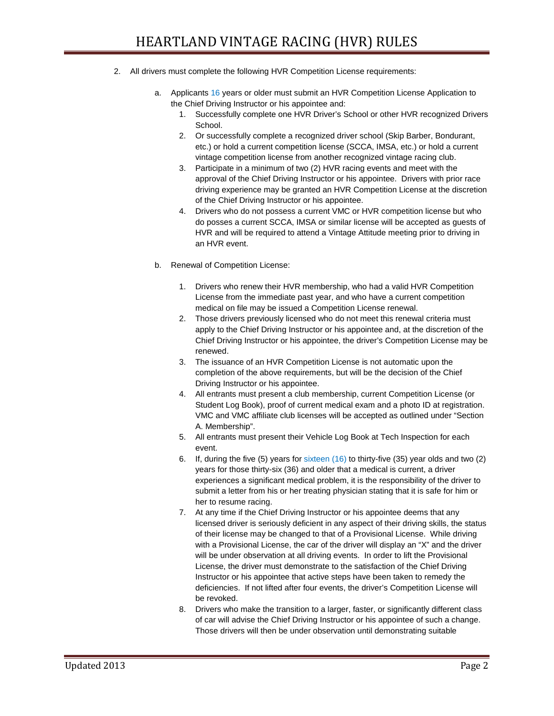- 2. All drivers must complete the following HVR Competition License requirements:
	- a. Applicants 16 years or older must submit an HVR Competition License Application to the Chief Driving Instructor or his appointee and:
		- 1. Successfully complete one HVR Driver's School or other HVR recognized Drivers School.
		- 2. Or successfully complete a recognized driver school (Skip Barber, Bondurant, etc.) or hold a current competition license (SCCA, IMSA, etc.) or hold a current vintage competition license from another recognized vintage racing club.
		- 3. Participate in a minimum of two (2) HVR racing events and meet with the approval of the Chief Driving Instructor or his appointee. Drivers with prior race driving experience may be granted an HVR Competition License at the discretion of the Chief Driving Instructor or his appointee.
		- 4. Drivers who do not possess a current VMC or HVR competition license but who do posses a current SCCA, IMSA or similar license will be accepted as guests of HVR and will be required to attend a Vintage Attitude meeting prior to driving in an HVR event.
	- b. Renewal of Competition License:
		- 1. Drivers who renew their HVR membership, who had a valid HVR Competition License from the immediate past year, and who have a current competition medical on file may be issued a Competition License renewal.
		- 2. Those drivers previously licensed who do not meet this renewal criteria must apply to the Chief Driving Instructor or his appointee and, at the discretion of the Chief Driving Instructor or his appointee, the driver's Competition License may be renewed.
		- 3. The issuance of an HVR Competition License is not automatic upon the completion of the above requirements, but will be the decision of the Chief Driving Instructor or his appointee.
		- 4. All entrants must present a club membership, current Competition License (or Student Log Book), proof of current medical exam and a photo ID at registration. VMC and VMC affiliate club licenses will be accepted as outlined under "Section A. Membership".
		- 5. All entrants must present their Vehicle Log Book at Tech Inspection for each event.
		- 6. If, during the five (5) years for sixteen (16) to thirty-five (35) year olds and two (2) years for those thirty-six (36) and older that a medical is current, a driver experiences a significant medical problem, it is the responsibility of the driver to submit a letter from his or her treating physician stating that it is safe for him or her to resume racing.
		- 7. At any time if the Chief Driving Instructor or his appointee deems that any licensed driver is seriously deficient in any aspect of their driving skills, the status of their license may be changed to that of a Provisional License. While driving with a Provisional License, the car of the driver will display an "X" and the driver will be under observation at all driving events. In order to lift the Provisional License, the driver must demonstrate to the satisfaction of the Chief Driving Instructor or his appointee that active steps have been taken to remedy the deficiencies. If not lifted after four events, the driver's Competition License will be revoked.
		- 8. Drivers who make the transition to a larger, faster, or significantly different class of car will advise the Chief Driving Instructor or his appointee of such a change. Those drivers will then be under observation until demonstrating suitable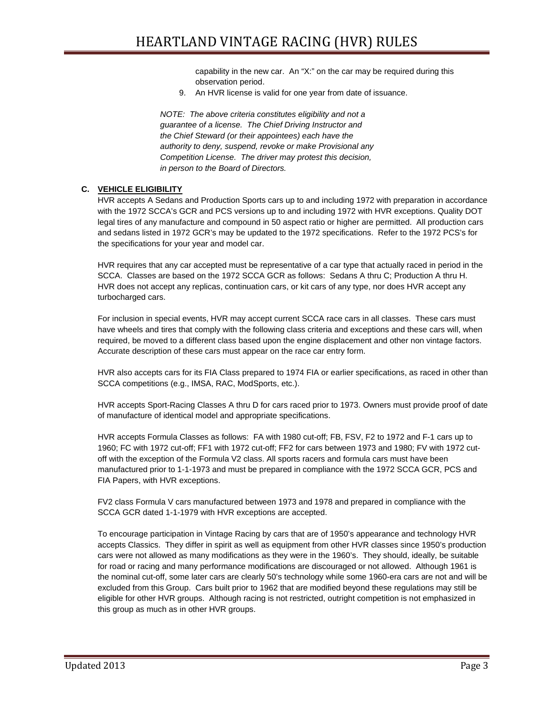capability in the new car. An "X:" on the car may be required during this observation period.

9. An HVR license is valid for one year from date of issuance.

 *NOTE: The above criteria constitutes eligibility and not a guarantee of a license. The Chief Driving Instructor and the Chief Steward (or their appointees) each have the authority to deny, suspend, revoke or make Provisional any Competition License. The driver may protest this decision, in person to the Board of Directors.* 

## **C. VEHICLE ELIGIBILITY**

HVR accepts A Sedans and Production Sports cars up to and including 1972 with preparation in accordance with the 1972 SCCA's GCR and PCS versions up to and including 1972 with HVR exceptions. Quality DOT legal tires of any manufacture and compound in 50 aspect ratio or higher are permitted. All production cars and sedans listed in 1972 GCR's may be updated to the 1972 specifications. Refer to the 1972 PCS's for the specifications for your year and model car.

HVR requires that any car accepted must be representative of a car type that actually raced in period in the SCCA. Classes are based on the 1972 SCCA GCR as follows: Sedans A thru C; Production A thru H. HVR does not accept any replicas, continuation cars, or kit cars of any type, nor does HVR accept any turbocharged cars.

For inclusion in special events, HVR may accept current SCCA race cars in all classes. These cars must have wheels and tires that comply with the following class criteria and exceptions and these cars will, when required, be moved to a different class based upon the engine displacement and other non vintage factors. Accurate description of these cars must appear on the race car entry form.

HVR also accepts cars for its FIA Class prepared to 1974 FIA or earlier specifications, as raced in other than SCCA competitions (e.g., IMSA, RAC, ModSports, etc.).

HVR accepts Sport-Racing Classes A thru D for cars raced prior to 1973. Owners must provide proof of date of manufacture of identical model and appropriate specifications.

HVR accepts Formula Classes as follows: FA with 1980 cut-off; FB, FSV, F2 to 1972 and F-1 cars up to 1960; FC with 1972 cut-off; FF1 with 1972 cut-off; FF2 for cars between 1973 and 1980; FV with 1972 cutoff with the exception of the Formula V2 class. All sports racers and formula cars must have been manufactured prior to 1-1-1973 and must be prepared in compliance with the 1972 SCCA GCR, PCS and FIA Papers, with HVR exceptions.

FV2 class Formula V cars manufactured between 1973 and 1978 and prepared in compliance with the SCCA GCR dated 1-1-1979 with HVR exceptions are accepted.

To encourage participation in Vintage Racing by cars that are of 1950's appearance and technology HVR accepts Classics. They differ in spirit as well as equipment from other HVR classes since 1950's production cars were not allowed as many modifications as they were in the 1960's. They should, ideally, be suitable for road or racing and many performance modifications are discouraged or not allowed. Although 1961 is the nominal cut-off, some later cars are clearly 50's technology while some 1960-era cars are not and will be excluded from this Group. Cars built prior to 1962 that are modified beyond these regulations may still be eligible for other HVR groups. Although racing is not restricted, outright competition is not emphasized in this group as much as in other HVR groups.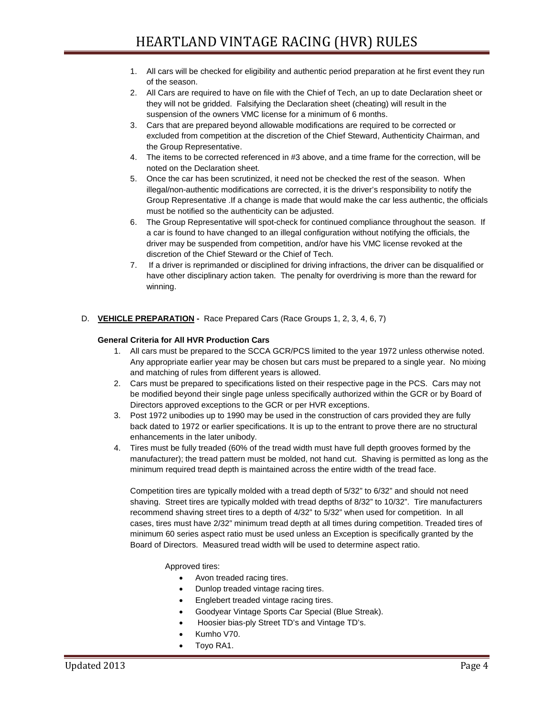- 1. All cars will be checked for eligibility and authentic period preparation at he first event they run of the season.
- 2. All Cars are required to have on file with the Chief of Tech, an up to date Declaration sheet or they will not be gridded. Falsifying the Declaration sheet (cheating) will result in the suspension of the owners VMC license for a minimum of 6 months.
- 3. Cars that are prepared beyond allowable modifications are required to be corrected or excluded from competition at the discretion of the Chief Steward, Authenticity Chairman, and the Group Representative.
- 4. The items to be corrected referenced in #3 above, and a time frame for the correction, will be noted on the Declaration sheet.
- 5. Once the car has been scrutinized, it need not be checked the rest of the season. When illegal/non-authentic modifications are corrected, it is the driver's responsibility to notify the Group Representative .If a change is made that would make the car less authentic, the officials must be notified so the authenticity can be adjusted.
- 6. The Group Representative will spot-check for continued compliance throughout the season. If a car is found to have changed to an illegal configuration without notifying the officials, the driver may be suspended from competition, and/or have his VMC license revoked at the discretion of the Chief Steward or the Chief of Tech.
- 7. If a driver is reprimanded or disciplined for driving infractions, the driver can be disqualified or have other disciplinary action taken. The penalty for overdriving is more than the reward for winning.

# D. **VEHICLE PREPARATION -** Race Prepared Cars (Race Groups 1, 2, 3, 4, 6, 7)

## **General Criteria for All HVR Production Cars**

- 1. All cars must be prepared to the SCCA GCR/PCS limited to the year 1972 unless otherwise noted. Any appropriate earlier year may be chosen but cars must be prepared to a single year. No mixing and matching of rules from different years is allowed.
- 2. Cars must be prepared to specifications listed on their respective page in the PCS. Cars may not be modified beyond their single page unless specifically authorized within the GCR or by Board of Directors approved exceptions to the GCR or per HVR exceptions.
- 3. Post 1972 unibodies up to 1990 may be used in the construction of cars provided they are fully back dated to 1972 or earlier specifications. It is up to the entrant to prove there are no structural enhancements in the later unibody.
- 4. Tires must be fully treaded (60% of the tread width must have full depth grooves formed by the manufacturer); the tread pattern must be molded, not hand cut. Shaving is permitted as long as the minimum required tread depth is maintained across the entire width of the tread face.

Competition tires are typically molded with a tread depth of 5/32" to 6/32" and should not need shaving. Street tires are typically molded with tread depths of 8/32" to 10/32". Tire manufacturers recommend shaving street tires to a depth of 4/32" to 5/32" when used for competition. In all cases, tires must have 2/32" minimum tread depth at all times during competition. Treaded tires of minimum 60 series aspect ratio must be used unless an Exception is specifically granted by the Board of Directors. Measured tread width will be used to determine aspect ratio.

## Approved tires:

- Avon treaded racing tires.
- Dunlop treaded vintage racing tires.
- Englebert treaded vintage racing tires.
- Goodyear Vintage Sports Car Special (Blue Streak).
- Hoosier bias-ply Street TD's and Vintage TD's.
- Kumho V70.
- Toyo RA1.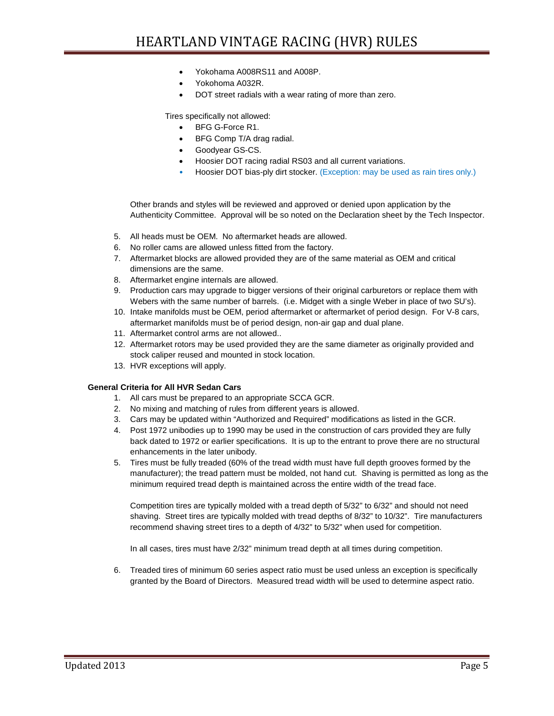- Yokohama A008RS11 and A008P.
- Yokohoma A032R.
- DOT street radials with a wear rating of more than zero.

Tires specifically not allowed:

- BFG G-Force R1.
- BFG Comp T/A drag radial.
- Goodyear GS-CS.
- Hoosier DOT racing radial RS03 and all current variations.
- Hoosier DOT bias-ply dirt stocker. (Exception: may be used as rain tires only.)

Other brands and styles will be reviewed and approved or denied upon application by the Authenticity Committee. Approval will be so noted on the Declaration sheet by the Tech Inspector.

- 5. All heads must be OEM. No aftermarket heads are allowed.
- 6. No roller cams are allowed unless fitted from the factory.
- 7. Aftermarket blocks are allowed provided they are of the same material as OEM and critical dimensions are the same.
- 8. Aftermarket engine internals are allowed.
- 9. Production cars may upgrade to bigger versions of their original carburetors or replace them with Webers with the same number of barrels. (i.e. Midget with a single Weber in place of two SU's).
- 10. Intake manifolds must be OEM, period aftermarket or aftermarket of period design. For V-8 cars, aftermarket manifolds must be of period design, non-air gap and dual plane.
- 11. Aftermarket control arms are not allowed..
- 12. Aftermarket rotors may be used provided they are the same diameter as originally provided and stock caliper reused and mounted in stock location.
- 13. HVR exceptions will apply.

## **General Criteria for All HVR Sedan Cars**

- 1. All cars must be prepared to an appropriate SCCA GCR.
- 2. No mixing and matching of rules from different years is allowed.
- 3. Cars may be updated within "Authorized and Required" modifications as listed in the GCR.
- 4. Post 1972 unibodies up to 1990 may be used in the construction of cars provided they are fully back dated to 1972 or earlier specifications. It is up to the entrant to prove there are no structural enhancements in the later unibody.
- 5. Tires must be fully treaded (60% of the tread width must have full depth grooves formed by the manufacturer); the tread pattern must be molded, not hand cut. Shaving is permitted as long as the minimum required tread depth is maintained across the entire width of the tread face.

Competition tires are typically molded with a tread depth of 5/32" to 6/32" and should not need shaving. Street tires are typically molded with tread depths of 8/32" to 10/32". Tire manufacturers recommend shaving street tires to a depth of 4/32" to 5/32" when used for competition.

In all cases, tires must have 2/32" minimum tread depth at all times during competition.

6. Treaded tires of minimum 60 series aspect ratio must be used unless an exception is specifically granted by the Board of Directors. Measured tread width will be used to determine aspect ratio.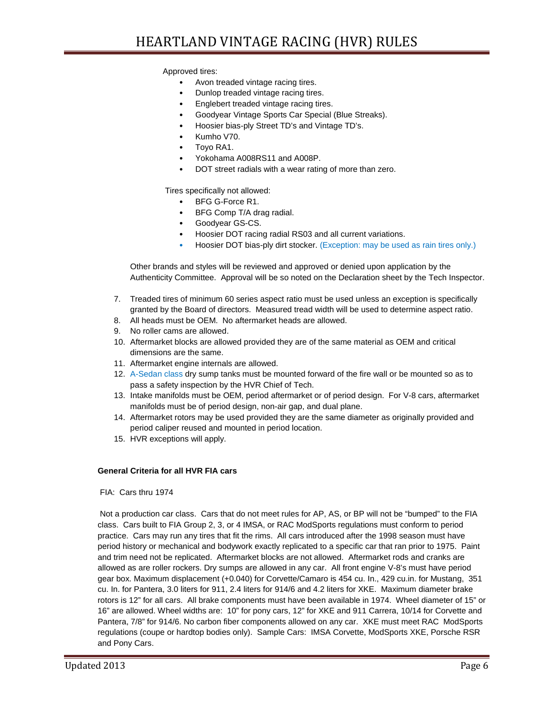Approved tires:

- Avon treaded vintage racing tires.
- Dunlop treaded vintage racing tires.
- Englebert treaded vintage racing tires.
- Goodyear Vintage Sports Car Special (Blue Streaks).
- Hoosier bias-ply Street TD's and Vintage TD's.
- Kumho V70.
- Toyo RA1.
- Yokohama A008RS11 and A008P.
- DOT street radials with a wear rating of more than zero.

Tires specifically not allowed:

- BFG G-Force R1.
- BFG Comp T/A drag radial.
- Goodyear GS-CS.
- Hoosier DOT racing radial RS03 and all current variations.
- Hoosier DOT bias-ply dirt stocker. (Exception: may be used as rain tires only.)

Other brands and styles will be reviewed and approved or denied upon application by the Authenticity Committee. Approval will be so noted on the Declaration sheet by the Tech Inspector.

- 7. Treaded tires of minimum 60 series aspect ratio must be used unless an exception is specifically granted by the Board of directors. Measured tread width will be used to determine aspect ratio.
- 8. All heads must be OEM. No aftermarket heads are allowed.
- 9. No roller cams are allowed.
- 10. Aftermarket blocks are allowed provided they are of the same material as OEM and critical dimensions are the same.
- 11. Aftermarket engine internals are allowed.
- 12. A-Sedan class dry sump tanks must be mounted forward of the fire wall or be mounted so as to pass a safety inspection by the HVR Chief of Tech.
- 13. Intake manifolds must be OEM, period aftermarket or of period design. For V-8 cars, aftermarket manifolds must be of period design, non-air gap, and dual plane.
- 14. Aftermarket rotors may be used provided they are the same diameter as originally provided and period caliper reused and mounted in period location.
- 15. HVR exceptions will apply.

## **General Criteria for all HVR FIA cars**

FIA: Cars thru 1974

Not a production car class. Cars that do not meet rules for AP, AS, or BP will not be "bumped" to the FIA class. Cars built to FIA Group 2, 3, or 4 IMSA, or RAC ModSports regulations must conform to period practice. Cars may run any tires that fit the rims. All cars introduced after the 1998 season must have period history or mechanical and bodywork exactly replicated to a specific car that ran prior to 1975. Paint and trim need not be replicated. Aftermarket blocks are not allowed. Aftermarket rods and cranks are allowed as are roller rockers. Dry sumps are allowed in any car. All front engine V-8's must have period gear box. Maximum displacement (+0.040) for Corvette/Camaro is 454 cu. In., 429 cu.in. for Mustang, 351 cu. In. for Pantera, 3.0 liters for 911, 2.4 liters for 914/6 and 4.2 liters for XKE. Maximum diameter brake rotors is 12" for all cars. All brake components must have been available in 1974. Wheel diameter of 15" or 16" are allowed. Wheel widths are: 10" for pony cars, 12" for XKE and 911 Carrera, 10/14 for Corvette and Pantera, 7/8" for 914/6. No carbon fiber components allowed on any car. XKE must meet RAC ModSports regulations (coupe or hardtop bodies only). Sample Cars: IMSA Corvette, ModSports XKE, Porsche RSR and Pony Cars.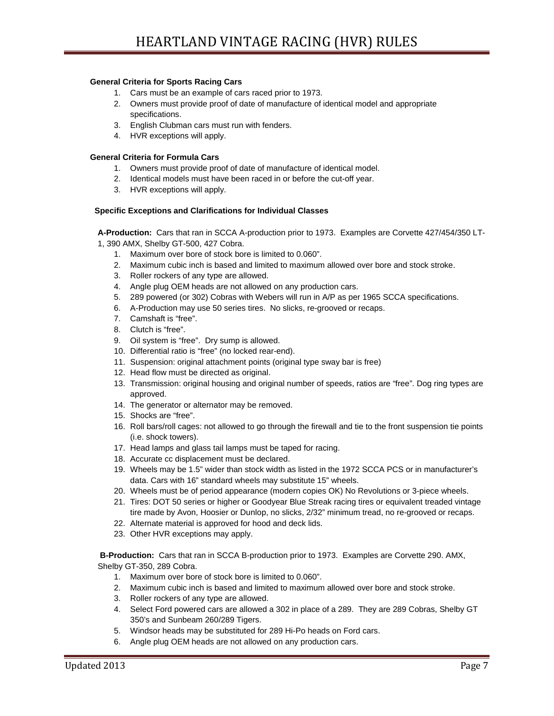## **General Criteria for Sports Racing Cars**

- 1. Cars must be an example of cars raced prior to 1973.
- 2. Owners must provide proof of date of manufacture of identical model and appropriate specifications.
- 3. English Clubman cars must run with fenders.
- 4. HVR exceptions will apply.

#### **General Criteria for Formula Cars**

- 1. Owners must provide proof of date of manufacture of identical model.
- 2. Identical models must have been raced in or before the cut-off year.
- 3. HVR exceptions will apply.

#### **Specific Exceptions and Clarifications for Individual Classes**

**A-Production:** Cars that ran in SCCA A-production prior to 1973. Examples are Corvette 427/454/350 LT-1, 390 AMX, Shelby GT-500, 427 Cobra.

- 1. Maximum over bore of stock bore is limited to 0.060".
- 2. Maximum cubic inch is based and limited to maximum allowed over bore and stock stroke.
- 3. Roller rockers of any type are allowed.
- 4. Angle plug OEM heads are not allowed on any production cars.
- 5. 289 powered (or 302) Cobras with Webers will run in A/P as per 1965 SCCA specifications.
- 6. A-Production may use 50 series tires. No slicks, re-grooved or recaps.
- 7. Camshaft is "free".
- 8. Clutch is "free".
- 9. Oil system is "free". Dry sump is allowed.
- 10. Differential ratio is "free" (no locked rear-end).
- 11. Suspension: original attachment points (original type sway bar is free)
- 12. Head flow must be directed as original.
- 13. Transmission: original housing and original number of speeds, ratios are "free". Dog ring types are approved.
- 14. The generator or alternator may be removed.
- 15. Shocks are "free".
- 16. Roll bars/roll cages: not allowed to go through the firewall and tie to the front suspension tie points (i.e. shock towers).
- 17. Head lamps and glass tail lamps must be taped for racing.
- 18. Accurate cc displacement must be declared.
- 19. Wheels may be 1.5" wider than stock width as listed in the 1972 SCCA PCS or in manufacturer's data. Cars with 16" standard wheels may substitute 15" wheels.
- 20. Wheels must be of period appearance (modern copies OK) No Revolutions or 3-piece wheels.
- 21. Tires: DOT 50 series or higher or Goodyear Blue Streak racing tires or equivalent treaded vintage tire made by Avon, Hoosier or Dunlop, no slicks, 2/32" minimum tread, no re-grooved or recaps.
- 22. Alternate material is approved for hood and deck lids.
- 23. Other HVR exceptions may apply.

**B-Production:** Cars that ran in SCCA B-production prior to 1973. Examples are Corvette 290. AMX, Shelby GT-350, 289 Cobra.

- 1. Maximum over bore of stock bore is limited to 0.060".
- 2. Maximum cubic inch is based and limited to maximum allowed over bore and stock stroke.
- 3. Roller rockers of any type are allowed.
- 4. Select Ford powered cars are allowed a 302 in place of a 289. They are 289 Cobras, Shelby GT 350's and Sunbeam 260/289 Tigers.
- 5. Windsor heads may be substituted for 289 Hi-Po heads on Ford cars.
- 6. Angle plug OEM heads are not allowed on any production cars.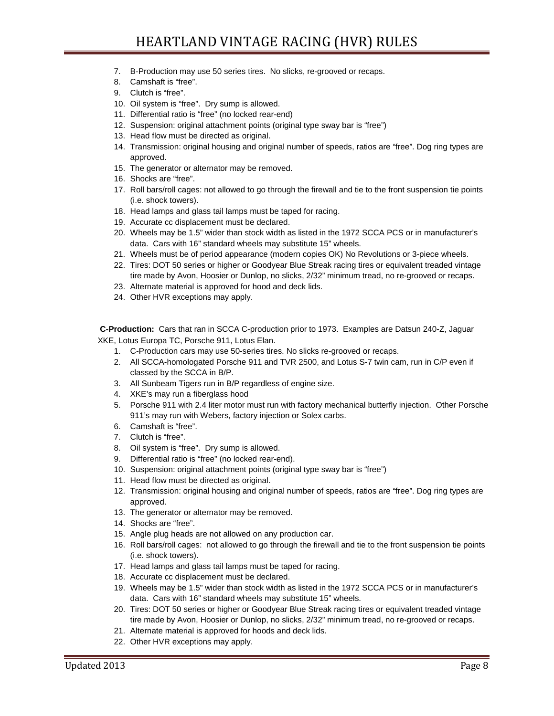- 7. B-Production may use 50 series tires. No slicks, re-grooved or recaps.
- 8. Camshaft is "free".
- 9. Clutch is "free".
- 10. Oil system is "free". Dry sump is allowed.
- 11. Differential ratio is "free" (no locked rear-end)
- 12. Suspension: original attachment points (original type sway bar is "free")
- 13. Head flow must be directed as original.
- 14. Transmission: original housing and original number of speeds, ratios are "free". Dog ring types are approved.
- 15. The generator or alternator may be removed.
- 16. Shocks are "free".
- 17. Roll bars/roll cages: not allowed to go through the firewall and tie to the front suspension tie points (i.e. shock towers).
- 18. Head lamps and glass tail lamps must be taped for racing.
- 19. Accurate cc displacement must be declared.
- 20. Wheels may be 1.5" wider than stock width as listed in the 1972 SCCA PCS or in manufacturer's data. Cars with 16" standard wheels may substitute 15" wheels.
- 21. Wheels must be of period appearance (modern copies OK) No Revolutions or 3-piece wheels.
- 22. Tires: DOT 50 series or higher or Goodyear Blue Streak racing tires or equivalent treaded vintage tire made by Avon, Hoosier or Dunlop, no slicks, 2/32" minimum tread, no re-grooved or recaps.
- 23. Alternate material is approved for hood and deck lids.
- 24. Other HVR exceptions may apply.

**C-Production:** Cars that ran in SCCA C-production prior to 1973. Examples are Datsun 240-Z, Jaguar XKE, Lotus Europa TC, Porsche 911, Lotus Elan.

- 1. C-Production cars may use 50-series tires. No slicks re-grooved or recaps.
- 2. All SCCA-homologated Porsche 911 and TVR 2500, and Lotus S-7 twin cam, run in C/P even if classed by the SCCA in B/P.
- 3. All Sunbeam Tigers run in B/P regardless of engine size.
- 4. XKE's may run a fiberglass hood
- 5. Porsche 911 with 2.4 liter motor must run with factory mechanical butterfly injection. Other Porsche 911's may run with Webers, factory injection or Solex carbs.
- 6. Camshaft is "free".
- 7. Clutch is "free".
- 8. Oil system is "free". Dry sump is allowed.
- 9. Differential ratio is "free" (no locked rear-end).
- 10. Suspension: original attachment points (original type sway bar is "free")
- 11. Head flow must be directed as original.
- 12. Transmission: original housing and original number of speeds, ratios are "free". Dog ring types are approved.
- 13. The generator or alternator may be removed.
- 14. Shocks are "free".
- 15. Angle plug heads are not allowed on any production car.
- 16. Roll bars/roll cages: not allowed to go through the firewall and tie to the front suspension tie points (i.e. shock towers).
- 17. Head lamps and glass tail lamps must be taped for racing.
- 18. Accurate cc displacement must be declared.
- 19. Wheels may be 1.5" wider than stock width as listed in the 1972 SCCA PCS or in manufacturer's data. Cars with 16" standard wheels may substitute 15" wheels.
- 20. Tires: DOT 50 series or higher or Goodyear Blue Streak racing tires or equivalent treaded vintage tire made by Avon, Hoosier or Dunlop, no slicks, 2/32" minimum tread, no re-grooved or recaps.
- 21. Alternate material is approved for hoods and deck lids.
- 22. Other HVR exceptions may apply.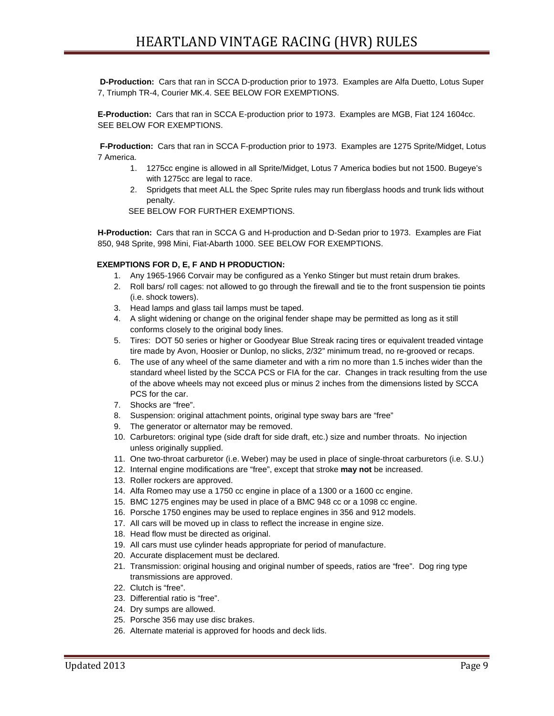**D-Production:** Cars that ran in SCCA D-production prior to 1973. Examples are Alfa Duetto, Lotus Super 7, Triumph TR-4, Courier MK.4. SEE BELOW FOR EXEMPTIONS.

**E-Production:** Cars that ran in SCCA E-production prior to 1973. Examples are MGB, Fiat 124 1604cc. SEE BELOW FOR EXEMPTIONS.

**F-Production:** Cars that ran in SCCA F-production prior to 1973. Examples are 1275 Sprite/Midget, Lotus 7 America.

- 1. 1275cc engine is allowed in all Sprite/Midget, Lotus 7 America bodies but not 1500. Bugeye's with 1275cc are legal to race.
- 2. Spridgets that meet ALL the Spec Sprite rules may run fiberglass hoods and trunk lids without penalty.

SEE BELOW FOR FURTHER EXEMPTIONS.

**H-Production:** Cars that ran in SCCA G and H-production and D-Sedan prior to 1973. Examples are Fiat 850, 948 Sprite, 998 Mini, Fiat-Abarth 1000. SEE BELOW FOR EXEMPTIONS.

## **EXEMPTIONS FOR D, E, F AND H PRODUCTION:**

- 1. Any 1965-1966 Corvair may be configured as a Yenko Stinger but must retain drum brakes.
- 2. Roll bars/ roll cages: not allowed to go through the firewall and tie to the front suspension tie points (i.e. shock towers).
- 3. Head lamps and glass tail lamps must be taped.
- 4. A slight widening or change on the original fender shape may be permitted as long as it still conforms closely to the original body lines.
- 5. Tires: DOT 50 series or higher or Goodyear Blue Streak racing tires or equivalent treaded vintage tire made by Avon, Hoosier or Dunlop, no slicks, 2/32" minimum tread, no re-grooved or recaps.
- 6. The use of any wheel of the same diameter and with a rim no more than 1.5 inches wider than the standard wheel listed by the SCCA PCS or FIA for the car. Changes in track resulting from the use of the above wheels may not exceed plus or minus 2 inches from the dimensions listed by SCCA PCS for the car.
- 7. Shocks are "free".
- 8. Suspension: original attachment points, original type sway bars are "free"
- 9. The generator or alternator may be removed.
- 10. Carburetors: original type (side draft for side draft, etc.) size and number throats. No injection unless originally supplied.
- 11. One two-throat carburetor (i.e. Weber) may be used in place of single-throat carburetors (i.e. S.U.)
- 12. Internal engine modifications are "free", except that stroke **may not** be increased.
- 13. Roller rockers are approved.
- 14. Alfa Romeo may use a 1750 cc engine in place of a 1300 or a 1600 cc engine.
- 15. BMC 1275 engines may be used in place of a BMC 948 cc or a 1098 cc engine.
- 16. Porsche 1750 engines may be used to replace engines in 356 and 912 models.
- 17. All cars will be moved up in class to reflect the increase in engine size.
- 18. Head flow must be directed as original.
- 19. All cars must use cylinder heads appropriate for period of manufacture.
- 20. Accurate displacement must be declared.
- 21. Transmission: original housing and original number of speeds, ratios are "free". Dog ring type transmissions are approved.
- 22. Clutch is "free".
- 23. Differential ratio is "free".
- 24. Dry sumps are allowed.
- 25. Porsche 356 may use disc brakes.
- 26. Alternate material is approved for hoods and deck lids.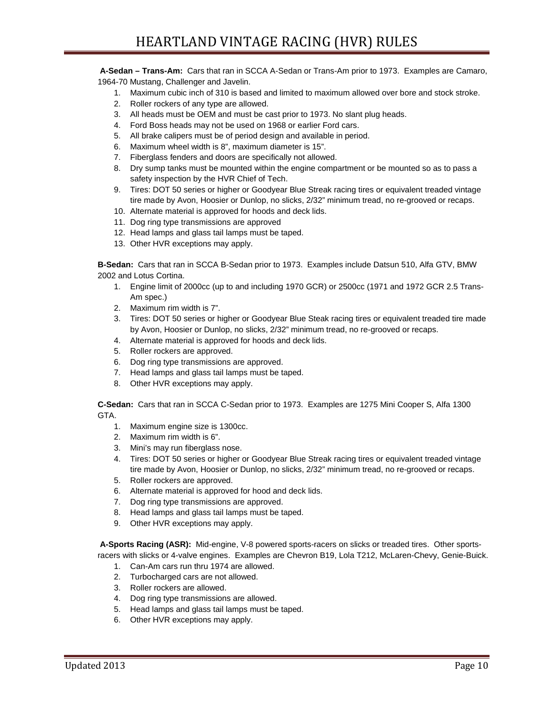**A-Sedan – Trans-Am:** Cars that ran in SCCA A-Sedan or Trans-Am prior to 1973. Examples are Camaro, 1964-70 Mustang, Challenger and Javelin.

- 1. Maximum cubic inch of 310 is based and limited to maximum allowed over bore and stock stroke.
- 2. Roller rockers of any type are allowed.
- 3. All heads must be OEM and must be cast prior to 1973. No slant plug heads.
- 4. Ford Boss heads may not be used on 1968 or earlier Ford cars.
- 5. All brake calipers must be of period design and available in period.
- 6. Maximum wheel width is 8", maximum diameter is 15".
- 7. Fiberglass fenders and doors are specifically not allowed.
- 8. Dry sump tanks must be mounted within the engine compartment or be mounted so as to pass a safety inspection by the HVR Chief of Tech.
- 9. Tires: DOT 50 series or higher or Goodyear Blue Streak racing tires or equivalent treaded vintage tire made by Avon, Hoosier or Dunlop, no slicks, 2/32" minimum tread, no re-grooved or recaps.
- 10. Alternate material is approved for hoods and deck lids.
- 11. Dog ring type transmissions are approved
- 12. Head lamps and glass tail lamps must be taped.
- 13. Other HVR exceptions may apply.

**B-Sedan:** Cars that ran in SCCA B-Sedan prior to 1973. Examples include Datsun 510, Alfa GTV, BMW 2002 and Lotus Cortina.

- 1. Engine limit of 2000cc (up to and including 1970 GCR) or 2500cc (1971 and 1972 GCR 2.5 Trans-Am spec.)
- 2. Maximum rim width is 7".
- 3. Tires: DOT 50 series or higher or Goodyear Blue Steak racing tires or equivalent treaded tire made by Avon, Hoosier or Dunlop, no slicks, 2/32" minimum tread, no re-grooved or recaps.
- 4. Alternate material is approved for hoods and deck lids.
- 5. Roller rockers are approved.
- 6. Dog ring type transmissions are approved.
- 7. Head lamps and glass tail lamps must be taped.
- 8. Other HVR exceptions may apply.

**C-Sedan:** Cars that ran in SCCA C-Sedan prior to 1973. Examples are 1275 Mini Cooper S, Alfa 1300 GTA.

- 1. Maximum engine size is 1300cc.
- 2. Maximum rim width is 6".
- 3. Mini's may run fiberglass nose.
- 4. Tires: DOT 50 series or higher or Goodyear Blue Streak racing tires or equivalent treaded vintage tire made by Avon, Hoosier or Dunlop, no slicks, 2/32" minimum tread, no re-grooved or recaps.
- 5. Roller rockers are approved.
- 6. Alternate material is approved for hood and deck lids.
- 7. Dog ring type transmissions are approved.
- 8. Head lamps and glass tail lamps must be taped.
- 9. Other HVR exceptions may apply.

**A-Sports Racing (ASR):** Mid-engine, V-8 powered sports-racers on slicks or treaded tires. Other sportsracers with slicks or 4-valve engines. Examples are Chevron B19, Lola T212, McLaren-Chevy, Genie-Buick.

- 1. Can-Am cars run thru 1974 are allowed.
- 2. Turbocharged cars are not allowed.
- 3. Roller rockers are allowed.
- 4. Dog ring type transmissions are allowed.
- 5. Head lamps and glass tail lamps must be taped.
- 6. Other HVR exceptions may apply.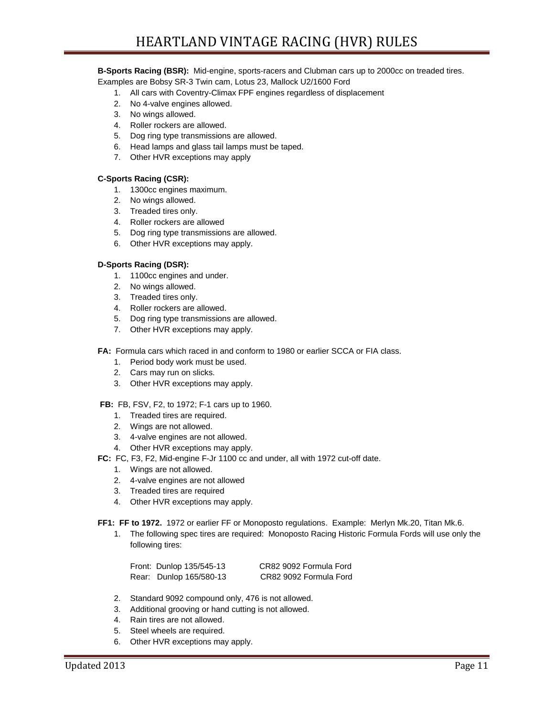#### **B-Sports Racing (BSR):** Mid-engine, sports-racers and Clubman cars up to 2000cc on treaded tires.

Examples are Bobsy SR-3 Twin cam, Lotus 23, Mallock U2/1600 Ford

- 1. All cars with Coventry-Climax FPF engines regardless of displacement
- 2. No 4-valve engines allowed.
- 3. No wings allowed.
- 4. Roller rockers are allowed.
- 5. Dog ring type transmissions are allowed.
- 6. Head lamps and glass tail lamps must be taped.
- 7. Other HVR exceptions may apply

#### **C-Sports Racing (CSR):**

- 1. 1300cc engines maximum.
- 2. No wings allowed.
- 3. Treaded tires only.
- 4. Roller rockers are allowed
- 5. Dog ring type transmissions are allowed.
- 6. Other HVR exceptions may apply.

## **D-Sports Racing (DSR):**

- 1. 1100cc engines and under.
- 2. No wings allowed.
- 3. Treaded tires only.
- 4. Roller rockers are allowed.
- 5. Dog ring type transmissions are allowed.
- 7. Other HVR exceptions may apply.

**FA:** Formula cars which raced in and conform to 1980 or earlier SCCA or FIA class.

- 1. Period body work must be used.
- 2. Cars may run on slicks.
- 3. Other HVR exceptions may apply.

**FB:** FB, FSV, F2, to 1972; F-1 cars up to 1960.

- 1. Treaded tires are required.
- 2. Wings are not allowed.
- 3. 4-valve engines are not allowed.
- 4. Other HVR exceptions may apply.
- **FC:** FC, F3, F2, Mid-engine F-Jr 1100 cc and under, all with 1972 cut-off date.
	- 1. Wings are not allowed.
	- 2. 4-valve engines are not allowed
	- 3. Treaded tires are required
	- 4. Other HVR exceptions may apply.

**FF1: FF to 1972.** 1972 or earlier FF or Monoposto regulations. Example: Merlyn Mk.20, Titan Mk.6.

1. The following spec tires are required: Monoposto Racing Historic Formula Fords will use only the following tires:

| Front: Dunlop 135/545-13 | CR82 9092 Formula Ford |
|--------------------------|------------------------|
| Rear: Dunlop 165/580-13  | CR82 9092 Formula Ford |

- 2. Standard 9092 compound only, 476 is not allowed.
- 3. Additional grooving or hand cutting is not allowed.
- 4. Rain tires are not allowed.
- 5. Steel wheels are required.
- 6. Other HVR exceptions may apply.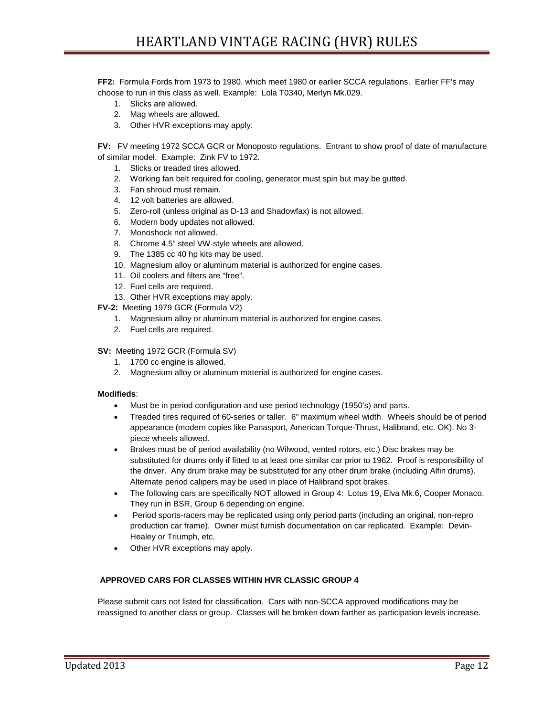**FF2:** Formula Fords from 1973 to 1980, which meet 1980 or earlier SCCA regulations. Earlier FF's may choose to run in this class as well. Example: Lola T0340, Merlyn Mk.029.

- 1. Slicks are allowed.
- 2. Mag wheels are allowed.
- 3. Other HVR exceptions may apply.

**FV:** FV meeting 1972 SCCA GCR or Monoposto regulations. Entrant to show proof of date of manufacture of similar model. Example: Zink FV to 1972.

- 1. Slicks or treaded tires allowed.
- 2. Working fan belt required for cooling, generator must spin but may be gutted.
- 3. Fan shroud must remain.
- 4. 12 volt batteries are allowed.
- 5. Zero-roll (unless original as D-13 and Shadowfax) is not allowed.
- 6. Modern body updates not allowed.
- 7. Monoshock not allowed.
- 8. Chrome 4.5" steel VW-style wheels are allowed.
- 9. The 1385 cc 40 hp kits may be used.
- 10. Magnesium alloy or aluminum material is authorized for engine cases.
- 11. Oil coolers and filters are "free".
- 12. Fuel cells are required.
- 13. Other HVR exceptions may apply.
- **FV-2:** Meeting 1979 GCR (Formula V2)
	- 1. Magnesium alloy or aluminum material is authorized for engine cases.
	- 2. Fuel cells are required.
- **SV:** Meeting 1972 GCR (Formula SV)
	- 1. 1700 cc engine is allowed.
	- 2. Magnesium alloy or aluminum material is authorized for engine cases.

## **Modifieds**:

- Must be in period configuration and use period technology (1950's) and parts.
- Treaded tires required of 60-series or taller. 6" maximum wheel width. Wheels should be of period appearance (modern copies like Panasport, American Torque-Thrust, Halibrand, etc. OK). No 3 piece wheels allowed.
- Brakes must be of period availability (no Wilwood, vented rotors, etc.) Disc brakes may be substituted for drums only if fitted to at least one similar car prior to 1962. Proof is responsibility of the driver. Any drum brake may be substituted for any other drum brake (including Alfin drums). Alternate period calipers may be used in place of Halibrand spot brakes.
- The following cars are specifically NOT allowed in Group 4: Lotus 19, Elva Mk.6, Cooper Monaco. They run in BSR, Group 6 depending on engine.
- Period sports-racers may be replicated using only period parts (including an original, non-repro production car frame). Owner must furnish documentation on car replicated. Example: Devin-Healey or Triumph, etc.
- Other HVR exceptions may apply.

## **APPROVED CARS FOR CLASSES WITHIN HVR CLASSIC GROUP 4**

Please submit cars not listed for classification. Cars with non-SCCA approved modifications may be reassigned to another class or group. Classes will be broken down farther as participation levels increase.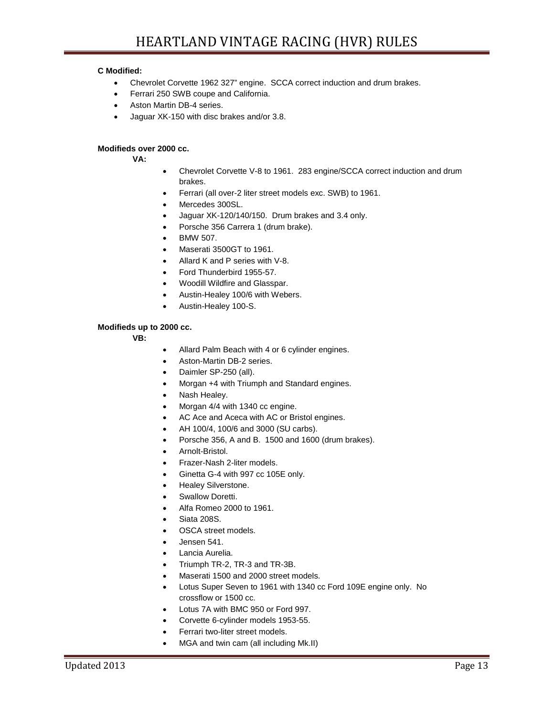## **C Modified:**

- Chevrolet Corvette 1962 327" engine. SCCA correct induction and drum brakes.
- Ferrari 250 SWB coupe and California.
- Aston Martin DB-4 series.
- Jaguar XK-150 with disc brakes and/or 3.8.

## **Modifieds over 2000 cc.**

**VA:** 

- Chevrolet Corvette V-8 to 1961. 283 engine/SCCA correct induction and drum brakes.
- Ferrari (all over-2 liter street models exc. SWB) to 1961.
- Mercedes 300SL.
- Jaguar XK-120/140/150. Drum brakes and 3.4 only.
- Porsche 356 Carrera 1 (drum brake).
- BMW 507.
- Maserati 3500GT to 1961.
- Allard K and P series with V-8.
- Ford Thunderbird 1955-57.
- Woodill Wildfire and Glasspar.
- Austin-Healey 100/6 with Webers.
- Austin-Healey 100-S.

#### **Modifieds up to 2000 cc.**

- **VB:**
- Allard Palm Beach with 4 or 6 cylinder engines.
- Aston-Martin DB-2 series.
- Daimler SP-250 (all).
- Morgan +4 with Triumph and Standard engines.
- Nash Healey.
- Morgan 4/4 with 1340 cc engine.
- AC Ace and Aceca with AC or Bristol engines.
- AH 100/4, 100/6 and 3000 (SU carbs).
- Porsche 356, A and B. 1500 and 1600 (drum brakes).
- Arnolt-Bristol.
- Frazer-Nash 2-liter models.
- Ginetta G-4 with 997 cc 105E only.
- Healey Silverstone.
- Swallow Doretti.
- Alfa Romeo 2000 to 1961.
- Siata 208S.
- OSCA street models.
- Jensen 541.
- Lancia Aurelia.
- Triumph TR-2, TR-3 and TR-3B.
- Maserati 1500 and 2000 street models.
- Lotus Super Seven to 1961 with 1340 cc Ford 109E engine only. No crossflow or 1500 cc.
- Lotus 7A with BMC 950 or Ford 997.
- Corvette 6-cylinder models 1953-55.
- Ferrari two-liter street models.
- MGA and twin cam (all including Mk.II)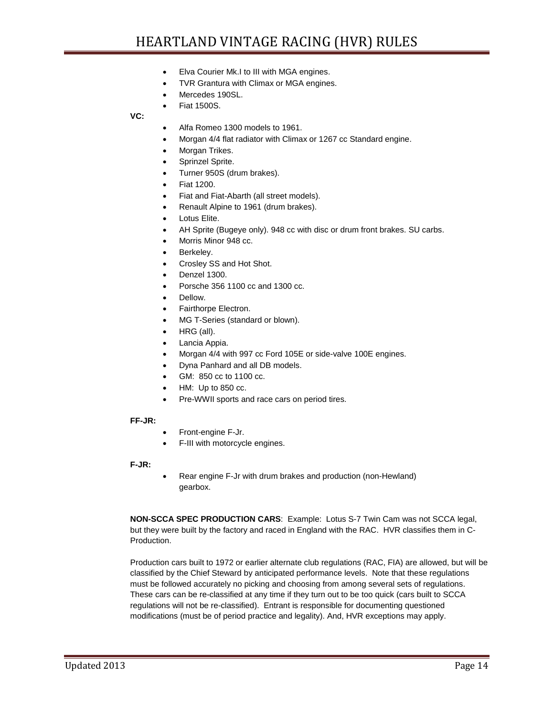- Elva Courier Mk.I to III with MGA engines.
- TVR Grantura with Climax or MGA engines.
- Mercedes 190SL.
- Fiat 1500S.

**VC:** 

- Alfa Romeo 1300 models to 1961.
- Morgan 4/4 flat radiator with Climax or 1267 cc Standard engine.
- Morgan Trikes.
- Sprinzel Sprite.
- Turner 950S (drum brakes).
- Fiat 1200.
- Fiat and Fiat-Abarth (all street models).
- Renault Alpine to 1961 (drum brakes).
- Lotus Elite.
- AH Sprite (Bugeye only). 948 cc with disc or drum front brakes. SU carbs.
- Morris Minor 948 cc.
- Berkeley.
- Crosley SS and Hot Shot.
- Denzel 1300.
- Porsche 356 1100 cc and 1300 cc.
- Dellow.
- Fairthorpe Electron.
- MG T-Series (standard or blown).
- HRG (all).
- Lancia Appia.
- Morgan 4/4 with 997 cc Ford 105E or side-valve 100E engines.
- Dyna Panhard and all DB models.
- GM: 850 cc to 1100 cc.
- HM: Up to 850 cc.
- Pre-WWII sports and race cars on period tires.

## **FF-JR:**

- Front-engine F-Jr.
- F-III with motorcycle engines.

## **F-JR:**

• Rear engine F-Jr with drum brakes and production (non-Hewland) gearbox.

**NON-SCCA SPEC PRODUCTION CARS**: Example: Lotus S-7 Twin Cam was not SCCA legal, but they were built by the factory and raced in England with the RAC. HVR classifies them in C-Production.

Production cars built to 1972 or earlier alternate club regulations (RAC, FIA) are allowed, but will be classified by the Chief Steward by anticipated performance levels. Note that these regulations must be followed accurately no picking and choosing from among several sets of regulations. These cars can be re-classified at any time if they turn out to be too quick (cars built to SCCA regulations will not be re-classified). Entrant is responsible for documenting questioned modifications (must be of period practice and legality). And, HVR exceptions may apply.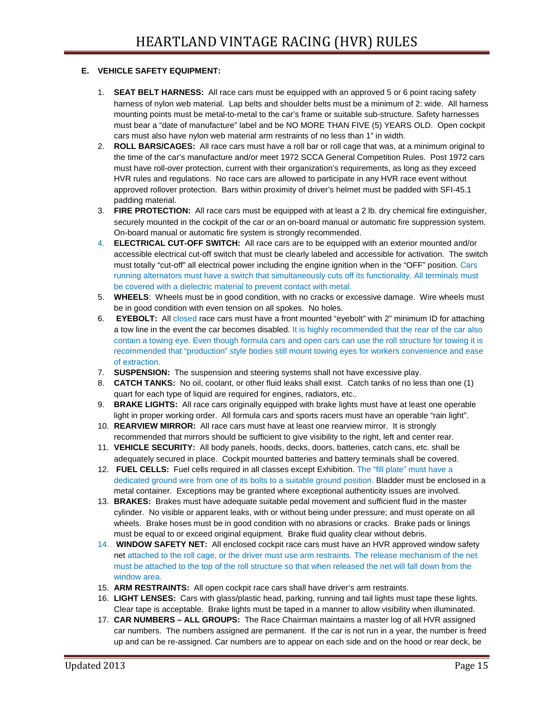## **E. VEHICLE SAFETY EQUIPMENT:**

- 1. **SEAT BELT HARNESS:** All race cars must be equipped with an approved 5 or 6 point racing safety harness of nylon web material. Lap belts and shoulder belts must be a minimum of 2: wide. All harness mounting points must be metal-to-metal to the car's frame or suitable sub-structure. Safety harnesses must bear a "date of manufacture" label and be NO MORE THAN FIVE (5) YEARS OLD. Open cockpit cars must also have nylon web material arm restraints of no less than 1" in width.
- 2. **ROLL BARS/CAGES:** All race cars must have a roll bar or roll cage that was, at a minimum original to the time of the car's manufacture and/or meet 1972 SCCA General Competition Rules. Post 1972 cars must have roll-over protection, current with their organization's requirements, as long as they exceed HVR rules and regulations. No race cars are allowed to participate in any HVR race event without approved rollover protection. Bars within proximity of driver's helmet must be padded with SFI-45.1 padding material.
- 3. **FIRE PROTECTION:** All race cars must be equipped with at least a 2 lb. dry chemical fire extinguisher, securely mounted in the cockpit of the car or an on-board manual or automatic fire suppression system. On-board manual or automatic fire system is strongly recommended.
- 4. **ELECTRICAL CUT-OFF SWITCH:** All race cars are to be equipped with an exterior mounted and/or accessible electrical cut-off switch that must be clearly labeled and accessible for activation. The switch must totally "cut-off" all electrical power including the engine ignition when in the "OFF" position. Cars running alternators must have a switch that simultaneously cuts off its functionality. All terminals must be covered with a dielectric material to prevent contact with metal.
- 5. **WHEELS**: Wheels must be in good condition, with no cracks or excessive damage. Wire wheels must be in good condition with even tension on all spokes. No holes.
- 6. **EYEBOLT:** All closed race cars must have a front mounted "eyebolt" with 2" minimum ID for attaching a tow line in the event the car becomes disabled. It is highly recommended that the rear of the car also contain a towing eye. Even though formula cars and open cars can use the roll structure for towing it is recommended that "production" style bodies still mount towing eyes for workers convenience and ease of extraction.
- 7. **SUSPENSION:** The suspension and steering systems shall not have excessive play.
- 8. **CATCH TANKS:** No oil, coolant, or other fluid leaks shall exist. Catch tanks of no less than one (1) quart for each type of liquid are required for engines, radiators, etc..
- 9. **BRAKE LIGHTS:** All race cars originally equipped with brake lights must have at least one operable light in proper working order. All formula cars and sports racers must have an operable "rain light".
- 10. **REARVIEW MIRROR:** All race cars must have at least one rearview mirror. It is strongly recommended that mirrors should be sufficient to give visibility to the right, left and center rear.
- 11. **VEHICLE SECURITY:** All body panels, hoods, decks, doors, batteries, catch cans, etc. shall be adequately secured in place. Cockpit mounted batteries and battery terminals shall be covered.
- 12. **FUEL CELLS:** Fuel cells required in all classes except Exhibition. The "fill plate" must have a dedicated ground wire from one of its bolts to a suitable ground position. Bladder must be enclosed in a metal container. Exceptions may be granted where exceptional authenticity issues are involved.
- 13. **BRAKES:** Brakes must have adequate suitable pedal movement and sufficient fluid in the master cylinder. No visible or apparent leaks, with or without being under pressure; and must operate on all wheels. Brake hoses must be in good condition with no abrasions or cracks. Brake pads or linings must be equal to or exceed original equipment. Brake fluid quality clear without debris.
- 14. **WINDOW SAFETY NET:** All enclosed cockpit race cars must have an HVR approved window safety net attached to the roll cage, or the driver must use arm restraints. The release mechanism of the net must be attached to the top of the roll structure so that when released the net will fall down from the window area.
- 15. **ARM RESTRAINTS:** All open cockpit race cars shall have driver's arm restraints.
- 16. **LIGHT LENSES:** Cars with glass/plastic head, parking, running and tail lights must tape these lights. Clear tape is acceptable. Brake lights must be taped in a manner to allow visibility when illuminated.
- 17. **CAR NUMBERS – ALL GROUPS:** The Race Chairman maintains a master log of all HVR assigned car numbers. The numbers assigned are permanent. If the car is not run in a year, the number is freed up and can be re-assigned. Car numbers are to appear on each side and on the hood or rear deck, be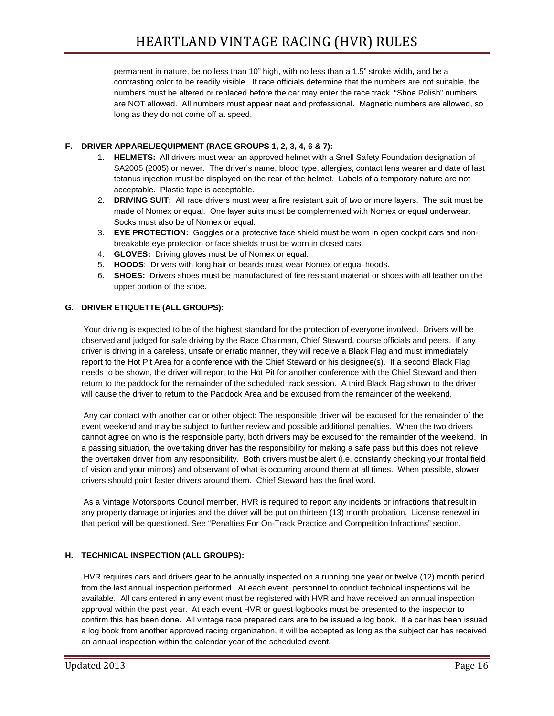permanent in nature, be no less than 10" high, with no less than a 1.5" stroke width, and be a contrasting color to be readily visible. If race officials determine that the numbers are not suitable, the numbers must be altered or replaced before the car may enter the race track. "Shoe Polish" numbers are NOT allowed. All numbers must appear neat and professional. Magnetic numbers are allowed, so long as they do not come off at speed.

# **F. DRIVER APPAREL/EQUIPMENT (RACE GROUPS 1, 2, 3, 4, 6 & 7):**

- 1. **HELMETS:** All drivers must wear an approved helmet with a Snell Safety Foundation designation of SA2005 (2005) or newer. The driver's name, blood type, allergies, contact lens wearer and date of last tetanus injection must be displayed on the rear of the helmet. Labels of a temporary nature are not acceptable. Plastic tape is acceptable.
- 2. **DRIVING SUIT:** All race drivers must wear a fire resistant suit of two or more layers. The suit must be made of Nomex or equal. One layer suits must be complemented with Nomex or equal underwear. Socks must also be of Nomex or equal.
- 3. **EYE PROTECTION:** Goggles or a protective face shield must be worn in open cockpit cars and nonbreakable eye protection or face shields must be worn in closed cars.
- 4. **GLOVES:** Driving gloves must be of Nomex or equal.
- 5. **HOODS**: Drivers with long hair or beards must wear Nomex or equal hoods.
- 6. **SHOES:** Drivers shoes must be manufactured of fire resistant material or shoes with all leather on the upper portion of the shoe.

## **G. DRIVER ETIQUETTE (ALL GROUPS):**

Your driving is expected to be of the highest standard for the protection of everyone involved. Drivers will be observed and judged for safe driving by the Race Chairman, Chief Steward, course officials and peers. If any driver is driving in a careless, unsafe or erratic manner, they will receive a Black Flag and must immediately report to the Hot Pit Area for a conference with the Chief Steward or his designee(s). If a second Black Flag needs to be shown, the driver will report to the Hot Pit for another conference with the Chief Steward and then return to the paddock for the remainder of the scheduled track session. A third Black Flag shown to the driver will cause the driver to return to the Paddock Area and be excused from the remainder of the weekend.

Any car contact with another car or other object: The responsible driver will be excused for the remainder of the event weekend and may be subject to further review and possible additional penalties. When the two drivers cannot agree on who is the responsible party, both drivers may be excused for the remainder of the weekend. In a passing situation, the overtaking driver has the responsibility for making a safe pass but this does not relieve the overtaken driver from any responsibility. Both drivers must be alert (i.e. constantly checking your frontal field of vision and your mirrors) and observant of what is occurring around them at all times. When possible, slower drivers should point faster drivers around them. Chief Steward has the final word.

As a Vintage Motorsports Council member, HVR is required to report any incidents or infractions that result in any property damage or injuries and the driver will be put on thirteen (13) month probation. License renewal in that period will be questioned. See "Penalties For On-Track Practice and Competition Infractions" section.

# **H. TECHNICAL INSPECTION (ALL GROUPS):**

HVR requires cars and drivers gear to be annually inspected on a running one year or twelve (12) month period from the last annual inspection performed. At each event, personnel to conduct technical inspections will be available. All cars entered in any event must be registered with HVR and have received an annual inspection approval within the past year. At each event HVR or guest logbooks must be presented to the inspector to confirm this has been done. All vintage race prepared cars are to be issued a log book. If a car has been issued a log book from another approved racing organization, it will be accepted as long as the subject car has received an annual inspection within the calendar year of the scheduled event.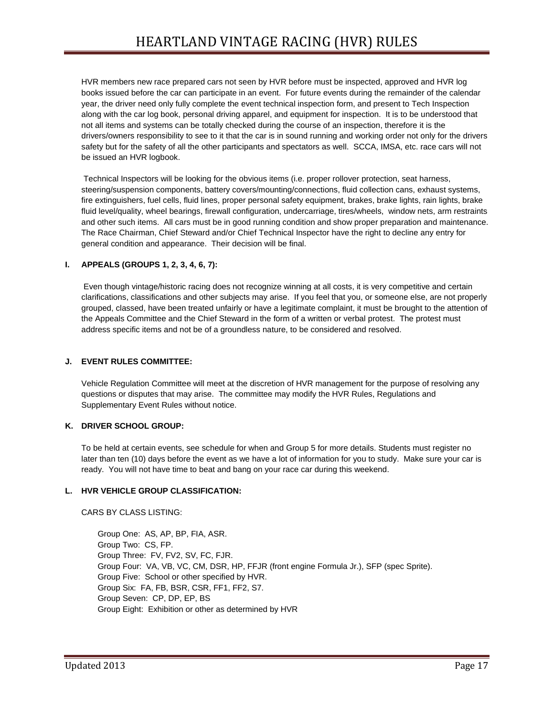HVR members new race prepared cars not seen by HVR before must be inspected, approved and HVR log books issued before the car can participate in an event. For future events during the remainder of the calendar year, the driver need only fully complete the event technical inspection form, and present to Tech Inspection along with the car log book, personal driving apparel, and equipment for inspection. It is to be understood that not all items and systems can be totally checked during the course of an inspection, therefore it is the drivers/owners responsibility to see to it that the car is in sound running and working order not only for the drivers safety but for the safety of all the other participants and spectators as well. SCCA, IMSA, etc. race cars will not be issued an HVR logbook.

Technical Inspectors will be looking for the obvious items (i.e. proper rollover protection, seat harness, steering/suspension components, battery covers/mounting/connections, fluid collection cans, exhaust systems, fire extinguishers, fuel cells, fluid lines, proper personal safety equipment, brakes, brake lights, rain lights, brake fluid level/quality, wheel bearings, firewall configuration, undercarriage, tires/wheels, window nets, arm restraints and other such items. All cars must be in good running condition and show proper preparation and maintenance. The Race Chairman, Chief Steward and/or Chief Technical Inspector have the right to decline any entry for general condition and appearance. Their decision will be final.

# **I. APPEALS (GROUPS 1, 2, 3, 4, 6, 7):**

Even though vintage/historic racing does not recognize winning at all costs, it is very competitive and certain clarifications, classifications and other subjects may arise. If you feel that you, or someone else, are not properly grouped, classed, have been treated unfairly or have a legitimate complaint, it must be brought to the attention of the Appeals Committee and the Chief Steward in the form of a written or verbal protest. The protest must address specific items and not be of a groundless nature, to be considered and resolved.

# **J. EVENT RULES COMMITTEE:**

Vehicle Regulation Committee will meet at the discretion of HVR management for the purpose of resolving any questions or disputes that may arise. The committee may modify the HVR Rules, Regulations and Supplementary Event Rules without notice.

# **K. DRIVER SCHOOL GROUP:**

To be held at certain events, see schedule for when and Group 5 for more details. Students must register no later than ten (10) days before the event as we have a lot of information for you to study. Make sure your car is ready. You will not have time to beat and bang on your race car during this weekend.

## **L. HVR VEHICLE GROUP CLASSIFICATION:**

CARS BY CLASS LISTING:

Group One: AS, AP, BP, FIA, ASR. Group Two: CS, FP. Group Three: FV, FV2, SV, FC, FJR. Group Four: VA, VB, VC, CM, DSR, HP, FFJR (front engine Formula Jr.), SFP (spec Sprite). Group Five: School or other specified by HVR. Group Six: FA, FB, BSR, CSR, FF1, FF2, S7. Group Seven: CP, DP, EP, BS Group Eight: Exhibition or other as determined by HVR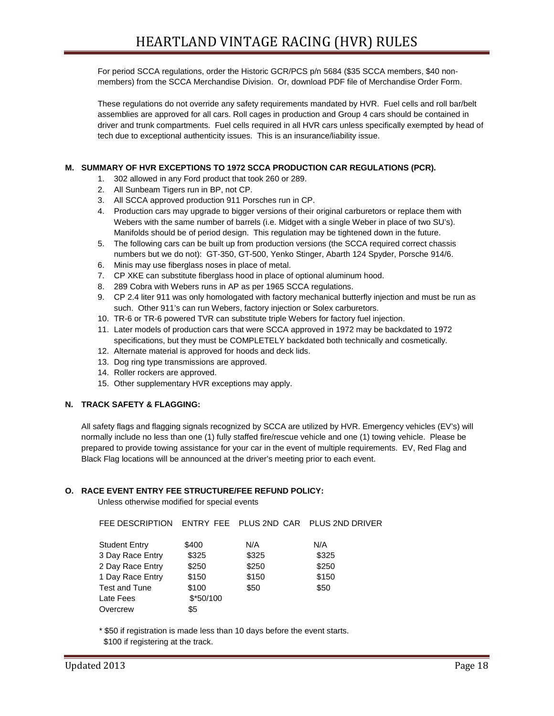For period SCCA regulations, order the Historic GCR/PCS p/n 5684 (\$35 SCCA members, \$40 nonmembers) from the SCCA Merchandise Division. Or, download PDF file of Merchandise Order Form.

These regulations do not override any safety requirements mandated by HVR. Fuel cells and roll bar/belt assemblies are approved for all cars. Roll cages in production and Group 4 cars should be contained in driver and trunk compartments. Fuel cells required in all HVR cars unless specifically exempted by head of tech due to exceptional authenticity issues. This is an insurance/liability issue.

## **M. SUMMARY OF HVR EXCEPTIONS TO 1972 SCCA PRODUCTION CAR REGULATIONS (PCR).**

- 1. 302 allowed in any Ford product that took 260 or 289.
- 2. All Sunbeam Tigers run in BP, not CP.
- 3. All SCCA approved production 911 Porsches run in CP.
- 4. Production cars may upgrade to bigger versions of their original carburetors or replace them with Webers with the same number of barrels (i.e. Midget with a single Weber in place of two SU's). Manifolds should be of period design. This regulation may be tightened down in the future.
- 5. The following cars can be built up from production versions (the SCCA required correct chassis numbers but we do not): GT-350, GT-500, Yenko Stinger, Abarth 124 Spyder, Porsche 914/6.
- 6. Minis may use fiberglass noses in place of metal.
- 7. CP XKE can substitute fiberglass hood in place of optional aluminum hood.
- 8. 289 Cobra with Webers runs in AP as per 1965 SCCA regulations.
- 9. CP 2.4 liter 911 was only homologated with factory mechanical butterfly injection and must be run as such. Other 911's can run Webers, factory injection or Solex carburetors.
- 10. TR-6 or TR-6 powered TVR can substitute triple Webers for factory fuel injection.
- 11. Later models of production cars that were SCCA approved in 1972 may be backdated to 1972 specifications, but they must be COMPLETELY backdated both technically and cosmetically.
- 12. Alternate material is approved for hoods and deck lids.
- 13. Dog ring type transmissions are approved.
- 14. Roller rockers are approved.
- 15. Other supplementary HVR exceptions may apply.

## **N. TRACK SAFETY & FLAGGING:**

All safety flags and flagging signals recognized by SCCA are utilized by HVR. Emergency vehicles (EV's) will normally include no less than one (1) fully staffed fire/rescue vehicle and one (1) towing vehicle. Please be prepared to provide towing assistance for your car in the event of multiple requirements. EV, Red Flag and Black Flag locations will be announced at the driver's meeting prior to each event.

## **O. RACE EVENT ENTRY FEE STRUCTURE/FEE REFUND POLICY:**

Unless otherwise modified for special events

| FEE DESCRIPTION |       |                                        |
|-----------------|-------|----------------------------------------|
| \$400           | N/A   | N/A                                    |
| \$325           | \$325 | \$325                                  |
| \$250           | \$250 | \$250                                  |
| \$150           | \$150 | \$150                                  |
| \$100           | \$50  | \$50                                   |
| $$*50/100$      |       |                                        |
| \$5             |       |                                        |
|                 |       | ENTRY FEE PLUS 2ND CAR PLUS 2ND DRIVER |

\* \$50 if registration is made less than 10 days before the event starts.